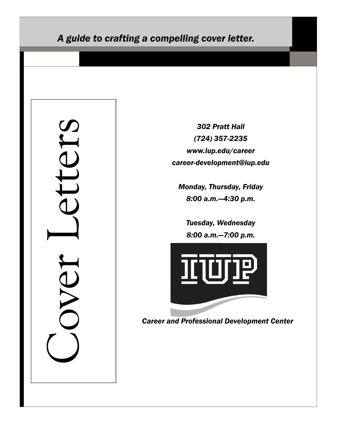# *A guide to crafting a compelling cover letter.*

Ters Cover Letters DVET

٦

*302 Pratt Hall (724) 357-2235 www.iup.edu/career career-development@iup.edu*

*Monday, Thursday, Friday 8:00 a.m.—4:30 p.m.*

*Tuesday, Wednesday 8:00 a.m.—7:00 p.m.*



*Career and Professional Development Center*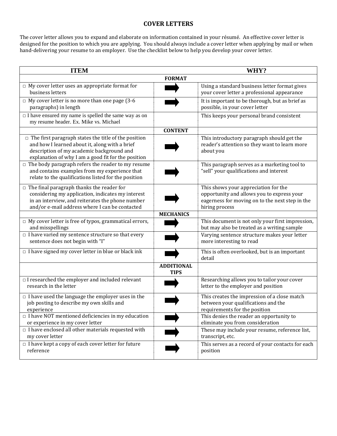### **COVER LETTERS**

The cover letter allows you to expand and elaborate on information contained in your résumé. An effective cover letter is designed for the position to which you are applying. You should always include a cover letter when applying by mail or when hand-delivering your resume to an employer. Use the checklist below to help you develop your cover letter.

| <b>ITEM</b>                                                                                                                                                                                                       |                                  | WHY?                                                                                                                                                    |
|-------------------------------------------------------------------------------------------------------------------------------------------------------------------------------------------------------------------|----------------------------------|---------------------------------------------------------------------------------------------------------------------------------------------------------|
| <b>FORMAT</b>                                                                                                                                                                                                     |                                  |                                                                                                                                                         |
| $\Box$ My cover letter uses an appropriate format for<br>business letters                                                                                                                                         |                                  | Using a standard business letter format gives<br>your cover letter a professional appearance                                                            |
| $\Box$ My cover letter is no more than one page (3-6<br>paragraphs) in length                                                                                                                                     |                                  | It is important to be thorough, but as brief as<br>possible, in your cover letter                                                                       |
| $\Box$ I have ensured my name is spelled the same way as on<br>my resume header. Ex. Mike vs. Michael                                                                                                             |                                  | This keeps your personal brand consistent                                                                                                               |
|                                                                                                                                                                                                                   | <b>CONTENT</b>                   |                                                                                                                                                         |
| $\Box$ The first paragraph states the title of the position<br>and how I learned about it, along with a brief<br>description of my academic background and<br>explanation of why I am a good fit for the position |                                  | This introductory paragraph should get the<br>reader's attention so they want to learn more<br>about you                                                |
| $\Box$ The body paragraph refers the reader to my resume<br>and contains examples from my experience that<br>relate to the qualifications listed for the position                                                 |                                  | This paragraph serves as a marketing tool to<br>"sell" your qualifications and interest                                                                 |
| $\Box$ The final paragraph thanks the reader for<br>considering my application, indicates my interest<br>in an interview, and reiterates the phone number<br>and/or e-mail address where I can be contacted       |                                  | This shows your appreciation for the<br>opportunity and allows you to express your<br>eagerness for moving on to the next step in the<br>hiring process |
|                                                                                                                                                                                                                   | <b>MECHANICS</b>                 |                                                                                                                                                         |
| $\Box$ My cover letter is free of typos, grammatical errors,<br>and misspellings                                                                                                                                  |                                  | This document is not only your first impression,<br>but may also be treated as a writing sample                                                         |
| $\Box$ I have varied my sentence structure so that every<br>sentence does not begin with "I"                                                                                                                      |                                  | Varying sentence structure makes your letter<br>more interesting to read                                                                                |
| $\Box$ I have signed my cover letter in blue or black ink                                                                                                                                                         |                                  | This is often overlooked, but is an important<br>detail                                                                                                 |
|                                                                                                                                                                                                                   | <b>ADDITIONAL</b><br><b>TIPS</b> |                                                                                                                                                         |
| $\Box$ I researched the employer and included relevant<br>research in the letter                                                                                                                                  |                                  | Researching allows you to tailor your cover<br>letter to the employer and position                                                                      |
| $\Box$ I have used the language the employer uses in the<br>job posting to describe my own skills and<br>experience                                                                                               |                                  | This creates the impression of a close match<br>between your qualifications and the<br>requirements for the position                                    |
| $\Box$ I have NOT mentioned deficiencies in my education<br>or experience in my cover letter                                                                                                                      |                                  | This denies the reader an opportunity to<br>eliminate you from consideration                                                                            |
| $\Box$ I have enclosed all other materials requested with<br>my cover letter                                                                                                                                      |                                  | These may include your resume, reference list,<br>transcript, etc.                                                                                      |
| $\Box$ I have kept a copy of each cover letter for future<br>reference                                                                                                                                            |                                  | This serves as a record of your contacts for each<br>position                                                                                           |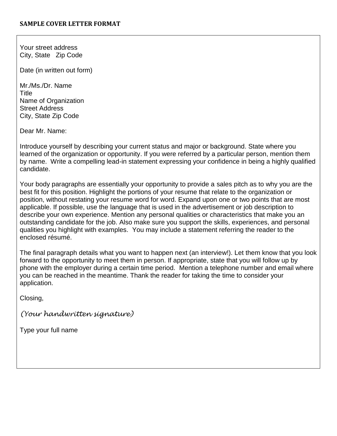Your street address City, State Zip Code

Date (in written out form)

Mr./Ms./Dr. Name Title Name of Organization Street Address City, State Zip Code

Dear Mr. Name:

Introduce yourself by describing your current status and major or background. State where you learned of the organization or opportunity. If you were referred by a particular person, mention them by name. Write a compelling lead-in statement expressing your confidence in being a highly qualified candidate.

Your body paragraphs are essentially your opportunity to provide a sales pitch as to why you are the best fit for this position. Highlight the portions of your resume that relate to the organization or position, without restating your resume word for word. Expand upon one or two points that are most applicable. If possible, use the language that is used in the advertisement or job description to describe your own experience. Mention any personal qualities or characteristics that make you an outstanding candidate for the job. Also make sure you support the skills, experiences, and personal qualities you highlight with examples. You may include a statement referring the reader to the enclosed résumé.

The final paragraph details what you want to happen next (an interview!). Let them know that you look forward to the opportunity to meet them in person. If appropriate, state that you will follow up by phone with the employer during a certain time period. Mention a telephone number and email where you can be reached in the meantime. Thank the reader for taking the time to consider your application.

Closing,

*(Your handwritten signature)*

Type your full name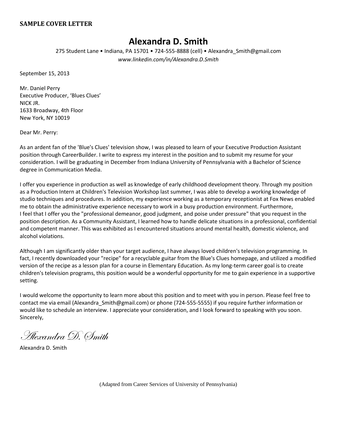#### **SAMPLE COVER LETTER**

# **Alexandra D. Smith**

275 Student Lane • Indiana, PA 15701 • 724-555-8888 (cell) • Alexandra\_Smith@gmail.com *www.linkedin.com/in/Alexandra.D.Smith*

September 15, 2013

Mr. Daniel Perry Executive Producer, 'Blues Clues' NICK JR. 1633 Broadway, 4th Floor New York, NY 10019

Dear Mr. Perry:

As an ardent fan of the 'Blue's Clues' television show, I was pleased to learn of your Executive Production Assistant position through CareerBuilder. I write to express my interest in the position and to submit my resume for your consideration. I will be graduating in December from Indiana University of Pennsylvania with a Bachelor of Science degree in Communication Media.

I offer you experience in production as well as knowledge of early childhood development theory. Through my position as a Production Intern at Children's Television Workshop last summer, I was able to develop a working knowledge of studio techniques and procedures. In addition, my experience working as a temporary receptionist at Fox News enabled me to obtain the administrative experience necessary to work in a busy production environment. Furthermore, I feel that I offer you the "professional demeanor, good judgment, and poise under pressure" that you request in the position description. As a Community Assistant, I learned how to handle delicate situations in a professional, confidential and competent manner. This was exhibited as I encountered situations around mental health, domestic violence, and alcohol violations.

Although I am significantly older than your target audience, I have always loved children's television programming. In fact, I recently downloaded your "recipe" for a recyclable guitar from the Blue's Clues homepage, and utilized a modified version of the recipe as a lesson plan for a course in Elementary Education. As my long-term career goal is to create children's television programs, this position would be a wonderful opportunity for me to gain experience in a supportive setting.

I would welcome the opportunity to learn more about this position and to meet with you in person. Please feel free to contact me via email (Alexandra\_Smith@gmail.com) or phone (724-555-5555) if you require further information or would like to schedule an interview. I appreciate your consideration, and I look forward to speaking with you soon. Sincerely,

Alexandra D. Smith

Alexandra D. Smith

(Adapted from Career Services of University of Pennsylvania)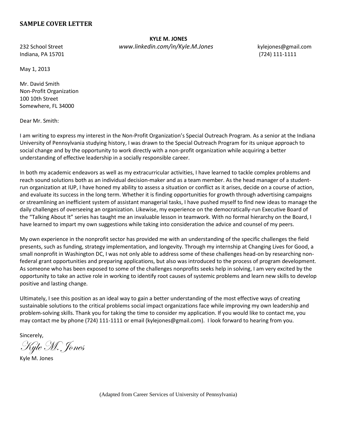### **SAMPLE COVER LETTER**

**KYLE M. JONES** 232 School Street *www.linkedin.com/in/Kyle.M.Jones* kylejones@gmail.com

Indiana, PA 15701 (724) 111-1111

May 1, 2013

Mr. David Smith Non-Profit Organization 100 10th Street Somewhere, FL 34000

Dear Mr. Smith:

I am writing to express my interest in the Non-Profit Organization's Special Outreach Program. As a senior at the Indiana University of Pennsylvania studying history, I was drawn to the Special Outreach Program for its unique approach to social change and by the opportunity to work directly with a non-profit organization while acquiring a better understanding of effective leadership in a socially responsible career.

In both my academic endeavors as well as my extracurricular activities, I have learned to tackle complex problems and reach sound solutions both as an individual decision-maker and as a team member. As the head manager of a studentrun organization at IUP, I have honed my ability to assess a situation or conflict as it arises, decide on a course of action, and evaluate its success in the long term. Whether it is finding opportunities for growth through advertising campaigns or streamlining an inefficient system of assistant managerial tasks, I have pushed myself to find new ideas to manage the daily challenges of overseeing an organization. Likewise, my experience on the democratically-run Executive Board of the "Talking About It" series has taught me an invaluable lesson in teamwork. With no formal hierarchy on the Board, I have learned to impart my own suggestions while taking into consideration the advice and counsel of my peers.

My own experience in the nonprofit sector has provided me with an understanding of the specific challenges the field presents, such as funding, strategy implementation, and longevity. Through my internship at Changing Lives for Good, a small nonprofit in Washington DC, I was not only able to address some of these challenges head-on by researching nonfederal grant opportunities and preparing applications, but also was introduced to the process of program development. As someone who has been exposed to some of the challenges nonprofits seeks help in solving, I am very excited by the opportunity to take an active role in working to identify root causes of systemic problems and learn new skills to develop positive and lasting change.

Ultimately, I see this position as an ideal way to gain a better understanding of the most effective ways of creating sustainable solutions to the critical problems social impact organizations face while improving my own leadership and problem-solving skills. Thank you for taking the time to consider my application. If you would like to contact me, you may contact me by phone (724) 111-1111 or email (kylejones@gmail.com). I look forward to hearing from you.

Sincerely,

Kyle M. Jones

Kyle M. Jones

(Adapted from Career Services of University of Pennsylvania)